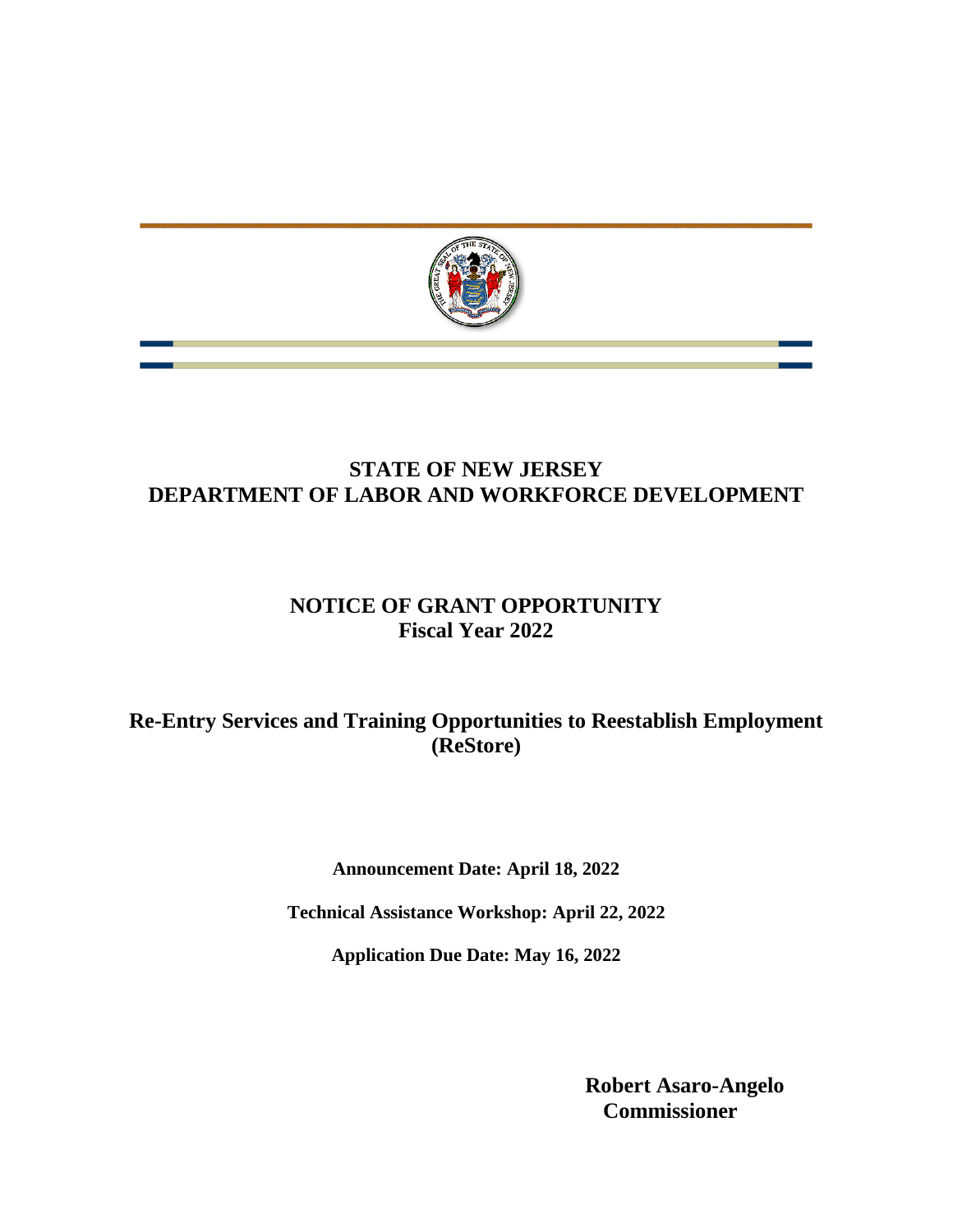

## **STATE OF NEW JERSEY DEPARTMENT OF LABOR AND WORKFORCE DEVELOPMENT**

# **NOTICE OF GRANT OPPORTUNITY Fiscal Year 2022**

## **Re-Entry Services and Training Opportunities to Reestablish Employment (ReStore)**

**Announcement Date: April 18, 2022**

**Technical Assistance Workshop: April 22, 2022**

**Application Due Date: May 16, 2022**

**Robert Asaro-Angelo Commissioner**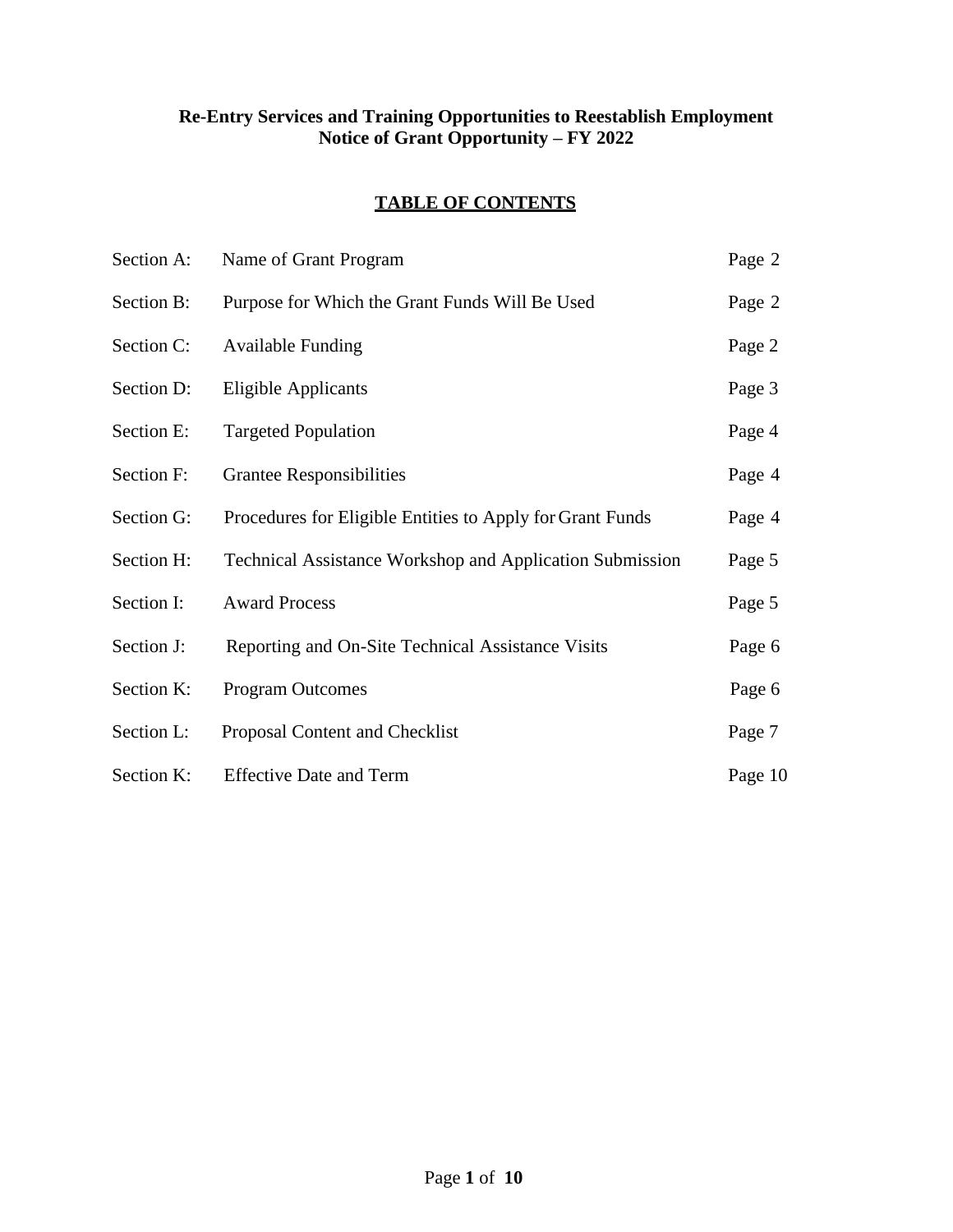#### **Re-Entry Services and Training Opportunities to Reestablish Employment Notice of Grant Opportunity – FY 2022**

#### **TABLE OF CONTENTS**

| Section A: | Name of Grant Program                                           | Page 2  |
|------------|-----------------------------------------------------------------|---------|
| Section B: | Purpose for Which the Grant Funds Will Be Used                  | Page 2  |
| Section C: | <b>Available Funding</b>                                        | Page 2  |
| Section D: | <b>Eligible Applicants</b>                                      | Page 3  |
| Section E: | <b>Targeted Population</b>                                      | Page 4  |
| Section F: | <b>Grantee Responsibilities</b>                                 | Page 4  |
| Section G: | Procedures for Eligible Entities to Apply for Grant Funds       | Page 4  |
| Section H: | <b>Technical Assistance Workshop and Application Submission</b> | Page 5  |
| Section I: | <b>Award Process</b>                                            | Page 5  |
| Section J: | Reporting and On-Site Technical Assistance Visits               | Page 6  |
| Section K: | <b>Program Outcomes</b>                                         | Page 6  |
| Section L: | Proposal Content and Checklist                                  | Page 7  |
| Section K: | <b>Effective Date and Term</b>                                  | Page 10 |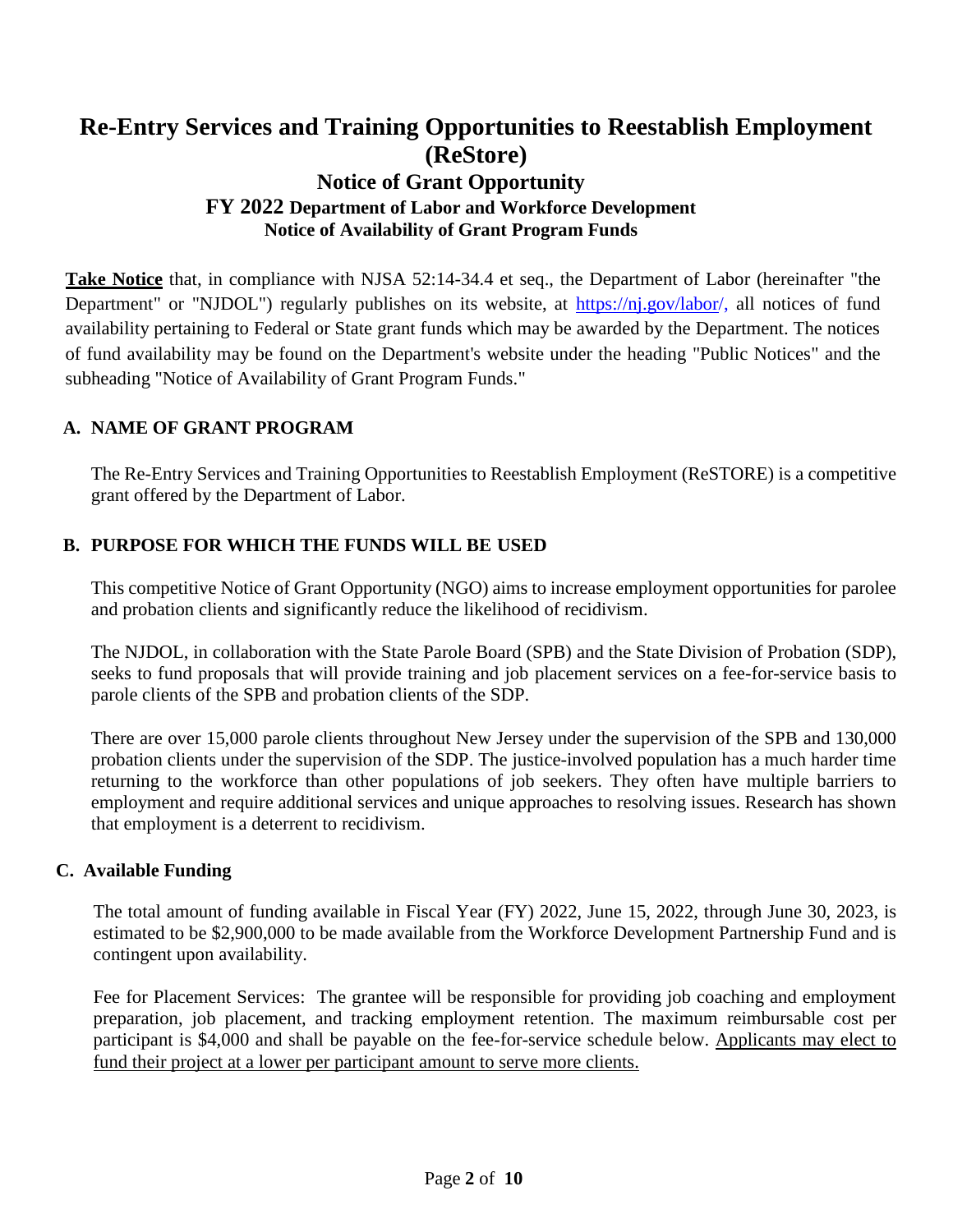# **Re-Entry Services and Training Opportunities to Reestablish Employment (ReStore) Notice of Grant Opportunity FY 2022 Department of Labor and Workforce Development Notice of Availability of Grant Program Funds**

**Take Notice** that, in compliance with NJSA 52:14-34.4 et seq., the Department of Labor (hereinafter "the Department" or "NJDOL") regularly publishes on its website, at [https://nj.gov/labor/](https://nj.gov/labor)[,](http://lwd.dol.state.nj.us/labor) all notices of fund availability pertaining to Federal or State grant funds which may be awarded by the Department. The notices of fund availability may be found on the Department's website under the heading "Public Notices" and the subheading "Notice of Availability of Grant Program Funds."

#### **A. NAME OF GRANT PROGRAM**

The Re-Entry Services and Training Opportunities to Reestablish Employment (ReSTORE) is a competitive grant offered by the Department of Labor.

#### **B. PURPOSE FOR WHICH THE FUNDS WILL BE USED**

This competitive Notice of Grant Opportunity (NGO) aims to increase employment opportunities for parolee and probation clients and significantly reduce the likelihood of recidivism.

The NJDOL, in collaboration with the State Parole Board (SPB) and the State Division of Probation (SDP), seeks to fund proposals that will provide training and job placement services on a fee-for-service basis to parole clients of the SPB and probation clients of the SDP.

There are over 15,000 parole clients throughout New Jersey under the supervision of the SPB and 130,000 probation clients under the supervision of the SDP. The justice-involved population has a much harder time returning to the workforce than other populations of job seekers. They often have multiple barriers to employment and require additional services and unique approaches to resolving issues. Research has shown that employment is a deterrent to recidivism.

#### **C. Available Funding**

The total amount of funding available in Fiscal Year (FY) 2022, June 15, 2022, through June 30, 2023, is estimated to be \$2,900,000 to be made available from the Workforce Development Partnership Fund and is contingent upon availability.

Fee for Placement Services: The grantee will be responsible for providing job coaching and employment preparation, job placement, and tracking employment retention. The maximum reimbursable cost per participant is \$4,000 and shall be payable on the fee-for-service schedule below. Applicants may elect to fund their project at a lower per participant amount to serve more clients.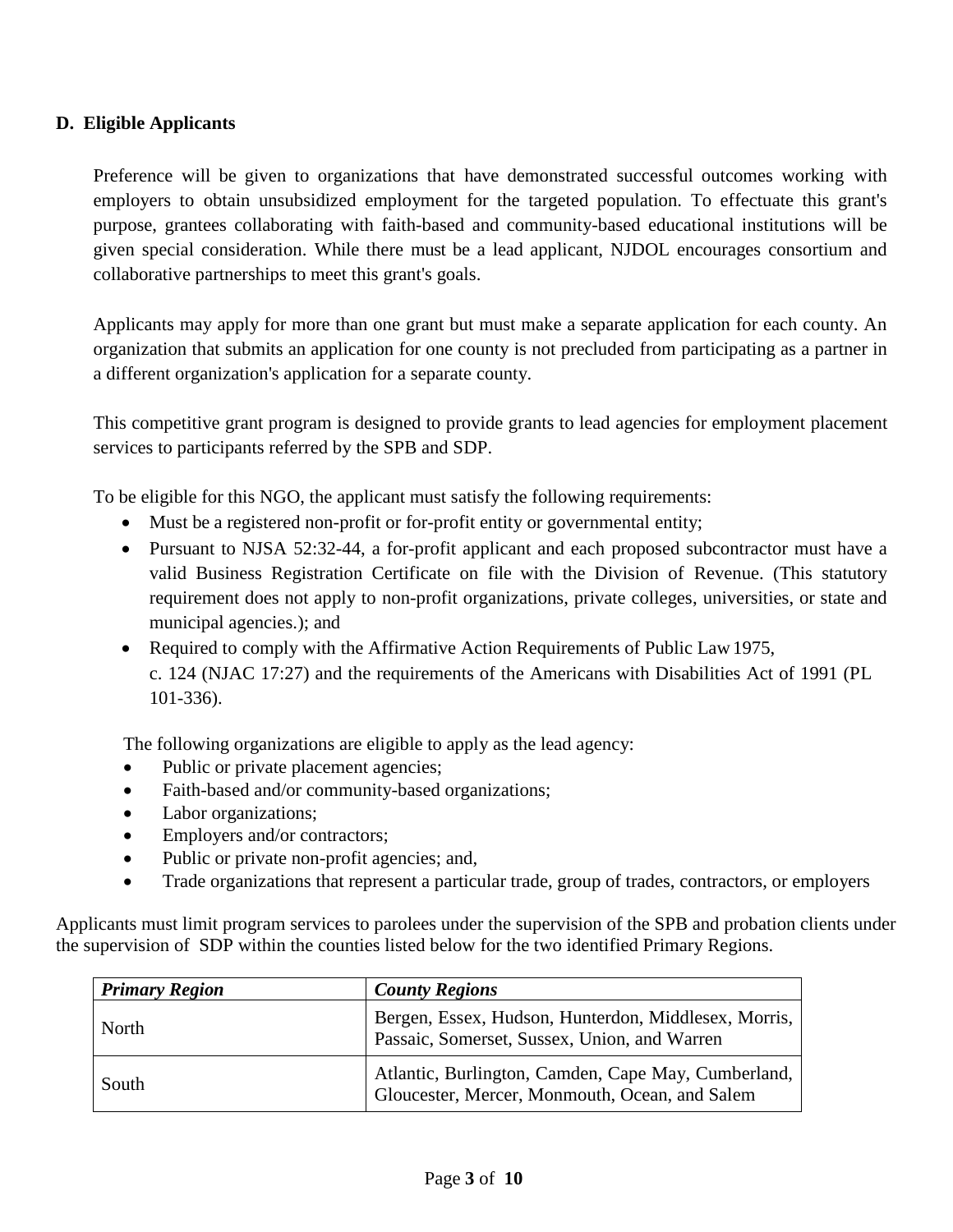#### **D. Eligible Applicants**

Preference will be given to organizations that have demonstrated successful outcomes working with employers to obtain unsubsidized employment for the targeted population. To effectuate this grant's purpose, grantees collaborating with faith-based and community-based educational institutions will be given special consideration. While there must be a lead applicant, NJDOL encourages consortium and collaborative partnerships to meet this grant's goals.

Applicants may apply for more than one grant but must make a separate application for each county. An organization that submits an application for one county is not precluded from participating as a partner in a different organization's application for a separate county.

This competitive grant program is designed to provide grants to lead agencies for employment placement services to participants referred by the SPB and SDP.

To be eligible for this NGO, the applicant must satisfy the following requirements:

- Must be a registered non-profit or for-profit entity or governmental entity;
- Pursuant to NJSA 52:32-44, a for-profit applicant and each proposed subcontractor must have a valid Business Registration Certificate on file with the Division of Revenue. (This statutory requirement does not apply to non-profit organizations, private colleges, universities, or state and municipal agencies.); and
- Required to comply with the Affirmative Action Requirements of Public Law 1975, c. 124 (NJAC 17:27) and the requirements of the Americans with Disabilities Act of 1991 (PL 101-336).

The following organizations are eligible to apply as the lead agency:

- Public or private placement agencies;
- Faith-based and/or community-based organizations;
- Labor organizations;
- Employers and/or contractors;
- Public or private non-profit agencies; and,
- Trade organizations that represent a particular trade, group of trades, contractors, or employers

Applicants must limit program services to parolees under the supervision of the SPB and probation clients under the supervision of SDP within the counties listed below for the two identified Primary Regions.

| <b>Primary Region</b> | <b>County Regions</b>                                                                                 |
|-----------------------|-------------------------------------------------------------------------------------------------------|
| North                 | Bergen, Essex, Hudson, Hunterdon, Middlesex, Morris,<br>Passaic, Somerset, Sussex, Union, and Warren  |
| South                 | Atlantic, Burlington, Camden, Cape May, Cumberland,<br>Gloucester, Mercer, Monmouth, Ocean, and Salem |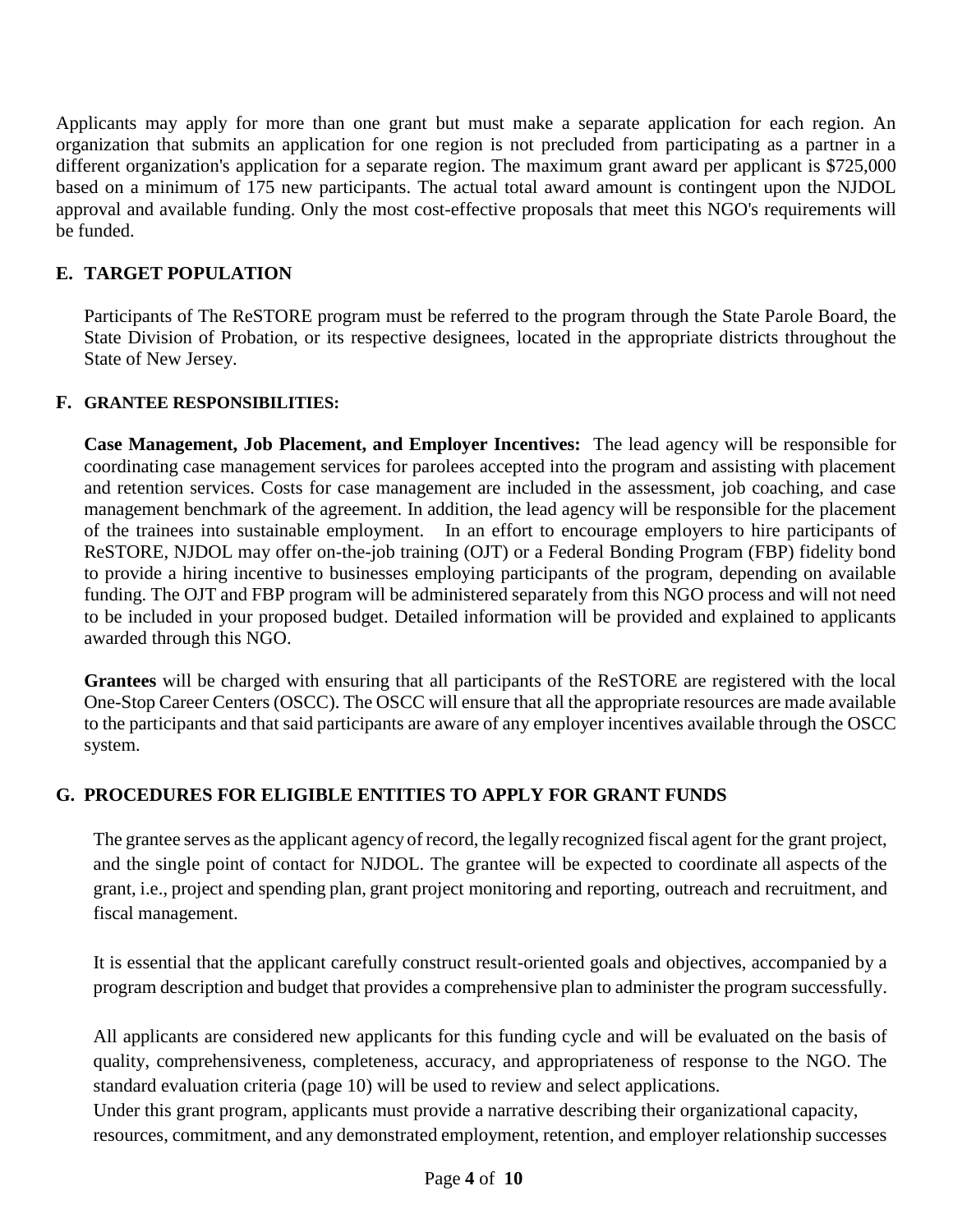Applicants may apply for more than one grant but must make a separate application for each region. An organization that submits an application for one region is not precluded from participating as a partner in a different organization's application for a separate region. The maximum grant award per applicant is \$725,000 based on a minimum of 175 new participants. The actual total award amount is contingent upon the NJDOL approval and available funding. Only the most cost-effective proposals that meet this NGO's requirements will be funded.

## **E. TARGET POPULATION**

Participants of The ReSTORE program must be referred to the program through the State Parole Board, the State Division of Probation, or its respective designees, located in the appropriate districts throughout the State of New Jersey.

## **F. GRANTEE RESPONSIBILITIES:**

**Case Management, Job Placement, and Employer Incentives:** The lead agency will be responsible for coordinating case management services for parolees accepted into the program and assisting with placement and retention services. Costs for case management are included in the assessment, job coaching, and case management benchmark of the agreement. In addition, the lead agency will be responsible for the placement of the trainees into sustainable employment. In an effort to encourage employers to hire participants of ReSTORE, NJDOL may offer on-the-job training (OJT) or a Federal Bonding Program (FBP) fidelity bond to provide a hiring incentive to businesses employing participants of the program, depending on available funding. The OJT and FBP program will be administered separately from this NGO process and will not need to be included in your proposed budget. Detailed information will be provided and explained to applicants awarded through this NGO.

**Grantees** will be charged with ensuring that all participants of the ReSTORE are registered with the local One-Stop Career Centers (OSCC). The OSCC will ensure that all the appropriate resources are made available to the participants and that said participants are aware of any employer incentives available through the OSCC system.

## **G. PROCEDURES FOR ELIGIBLE ENTITIES TO APPLY FOR GRANT FUNDS**

The grantee serves asthe applicant agency of record, the legally recognized fiscal agent for the grant project, and the single point of contact for NJDOL. The grantee will be expected to coordinate all aspects of the grant, i.e., project and spending plan, grant project monitoring and reporting, outreach and recruitment, and fiscal management.

It is essential that the applicant carefully construct result-oriented goals and objectives, accompanied by a program description and budget that provides a comprehensive plan to administer the program successfully.

All applicants are considered new applicants for this funding cycle and will be evaluated on the basis of quality, comprehensiveness, completeness, accuracy, and appropriateness of response to the NGO. The standard evaluation criteria (page 10) will be used to review and select applications.

Under this grant program, applicants must provide a narrative describing their organizational capacity, resources, commitment, and any demonstrated employment, retention, and employer relationship successes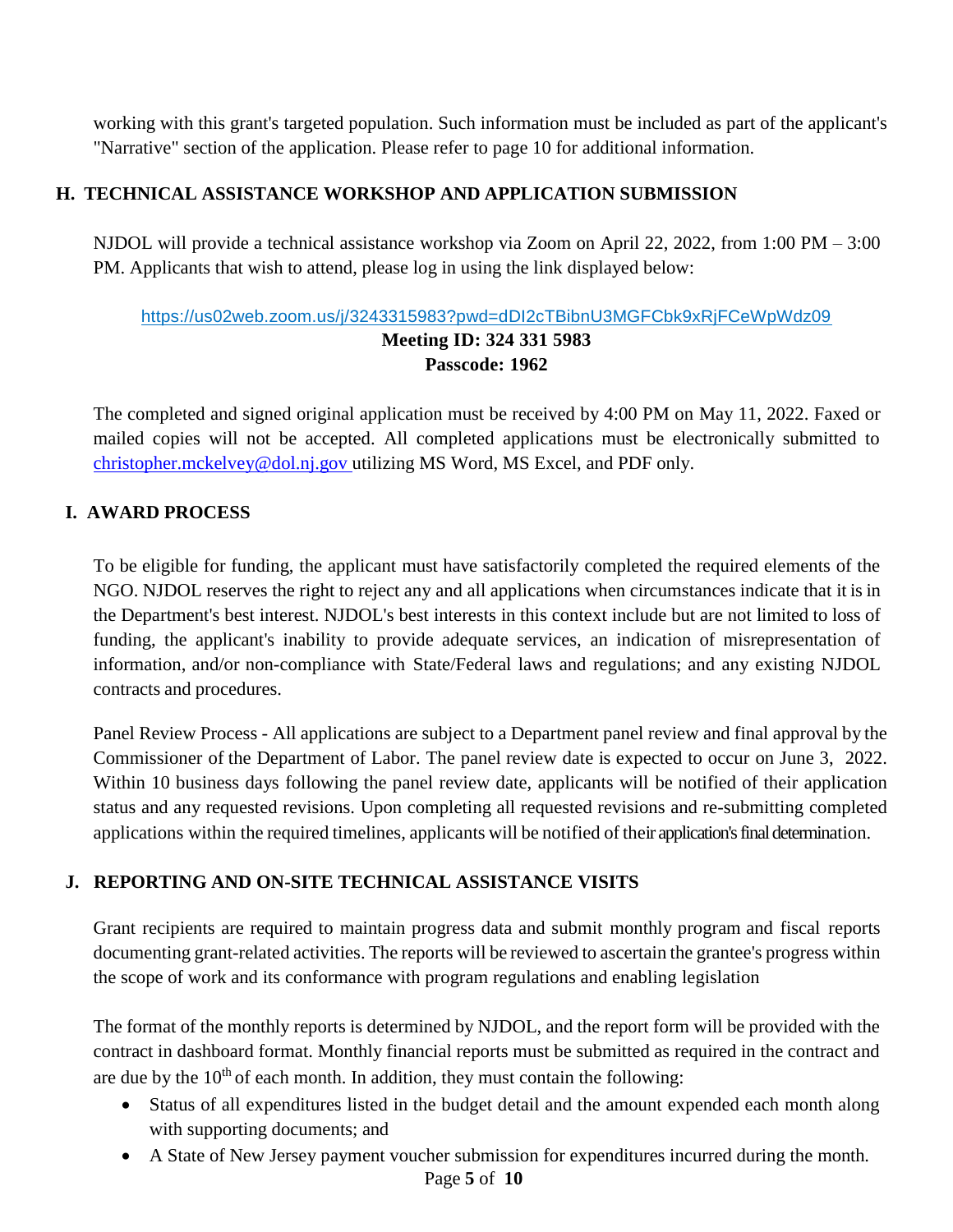working with this grant's targeted population. Such information must be included as part of the applicant's "Narrative" section of the application. Please refer to page 10 for additional information.

## **H. TECHNICAL ASSISTANCE WORKSHOP AND APPLICATION SUBMISSION**

NJDOL will provide a technical assistance workshop via Zoom on April 22, 2022, from 1:00 PM – 3:00 PM. Applicants that wish to attend, please log in using the link displayed below:

## [https://us02web.zoom.us/j/3243315983?pwd=dDI2cTBibnU3MGFCbk9xRjFCeWpWdz09](https://www.google.com/url?q=https://us02web.zoom.us/j/3243315983?pwd%3DdDI2cTBibnU3MGFCbk9xRjFCeWpWdz09&sa=D&source=calendar&ust=1618854751643000&usg=AOvVaw1AXPDCkAx1O3ZMSDsMhR4O) **Meeting ID: 324 331 5983 Passcode: 1962**

The completed and signed original application must be received by 4:00 PM on May 11, 2022. Faxed or mailed copies will not be accepted. All completed applications must be electronically submitted to [christopher.mckelvey@dol.nj.gov](mailto:christopher.mckelvey@dol.nj.gov) utilizing MS Word, MS Excel, and PDF only.

## **I. AWARD PROCESS**

To be eligible for funding, the applicant must have satisfactorily completed the required elements of the NGO. NJDOL reserves the right to reject any and all applications when circumstances indicate that it is in the Department's best interest. NJDOL's best interests in this context include but are not limited to loss of funding, the applicant's inability to provide adequate services, an indication of misrepresentation of information, and/or non-compliance with State/Federal laws and regulations; and any existing NJDOL contracts and procedures.

Panel Review Process - All applications are subject to a Department panel review and final approval by the Commissioner of the Department of Labor. The panel review date is expected to occur on June 3, 2022. Within 10 business days following the panel review date, applicants will be notified of their application status and any requested revisions. Upon completing all requested revisions and re-submitting completed applications within the required timelines, applicants will be notified of their application's final determination.

## **J. REPORTING AND ON-SITE TECHNICAL ASSISTANCE VISITS**

Grant recipients are required to maintain progress data and submit monthly program and fiscal reports documenting grant-related activities. The reports will be reviewed to ascertain the grantee's progress within the scope of work and its conformance with program regulations and enabling legislation

The format of the monthly reports is determined by NJDOL, and the report form will be provided with the contract in dashboard format. Monthly financial reports must be submitted as required in the contract and are due by the  $10<sup>th</sup>$  of each month. In addition, they must contain the following:

- Status of all expenditures listed in the budget detail and the amount expended each month along with supporting documents; and
- A State of New Jersey payment voucher submission for expenditures incurred during the month.

Page **5** of **10**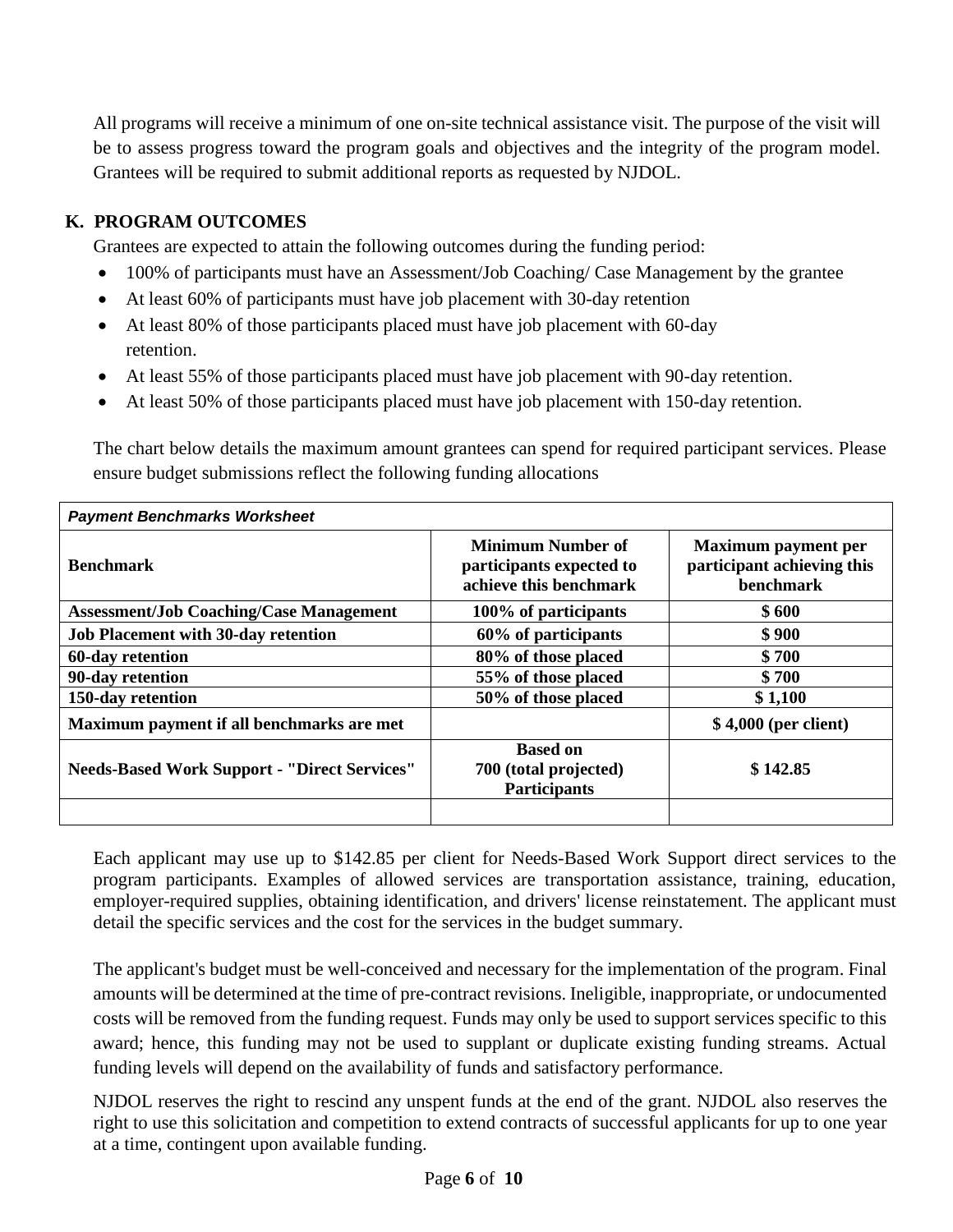All programs will receive a minimum of one on-site technical assistance visit. The purpose of the visit will be to assess progress toward the program goals and objectives and the integrity of the program model. Grantees will be required to submit additional reports as requested by NJDOL.

## **K. PROGRAM OUTCOMES**

Grantees are expected to attain the following outcomes during the funding period:

- 100% of participants must have an Assessment/Job Coaching/ Case Management by the grantee
- At least 60% of participants must have job placement with 30-day retention
- At least 80% of those participants placed must have job placement with 60-day retention.
- At least 55% of those participants placed must have job placement with 90-day retention.
- At least 50% of those participants placed must have job placement with 150-day retention.

The chart below details the maximum amount grantees can spend for required participant services. Please ensure budget submissions reflect the following funding allocations

| <b>Payment Benchmarks Worksheet</b>                 |                                                                                |                                                                              |  |  |  |
|-----------------------------------------------------|--------------------------------------------------------------------------------|------------------------------------------------------------------------------|--|--|--|
| <b>Benchmark</b>                                    | <b>Minimum Number of</b><br>participants expected to<br>achieve this benchmark | <b>Maximum payment per</b><br>participant achieving this<br><b>benchmark</b> |  |  |  |
| <b>Assessment/Job Coaching/Case Management</b>      | 100% of participants                                                           | \$600                                                                        |  |  |  |
| <b>Job Placement with 30-day retention</b>          | 60% of participants                                                            | \$900                                                                        |  |  |  |
| 60-day retention                                    | 80% of those placed                                                            | \$700                                                                        |  |  |  |
| 90-day retention                                    | 55% of those placed                                                            | \$700                                                                        |  |  |  |
| 150-day retention                                   | 50% of those placed                                                            | \$1,100                                                                      |  |  |  |
| Maximum payment if all benchmarks are met           |                                                                                | $$4,000$ (per client)                                                        |  |  |  |
| <b>Needs-Based Work Support - "Direct Services"</b> | <b>Based on</b><br>700 (total projected)<br><b>Participants</b>                | \$142.85                                                                     |  |  |  |
|                                                     |                                                                                |                                                                              |  |  |  |

Each applicant may use up to \$142.85 per client for Needs-Based Work Support direct services to the program participants. Examples of allowed services are transportation assistance, training, education, employer-required supplies, obtaining identification, and drivers' license reinstatement. The applicant must detail the specific services and the cost for the services in the budget summary.

The applicant's budget must be well-conceived and necessary for the implementation of the program. Final amounts will be determined at the time of pre-contract revisions. Ineligible, inappropriate, or undocumented costs will be removed from the funding request. Funds may only be used to support services specific to this award; hence, this funding may not be used to supplant or duplicate existing funding streams. Actual funding levels will depend on the availability of funds and satisfactory performance.

NJDOL reserves the right to rescind any unspent funds at the end of the grant. NJDOL also reserves the right to use this solicitation and competition to extend contracts of successful applicants for up to one year at a time, contingent upon available funding.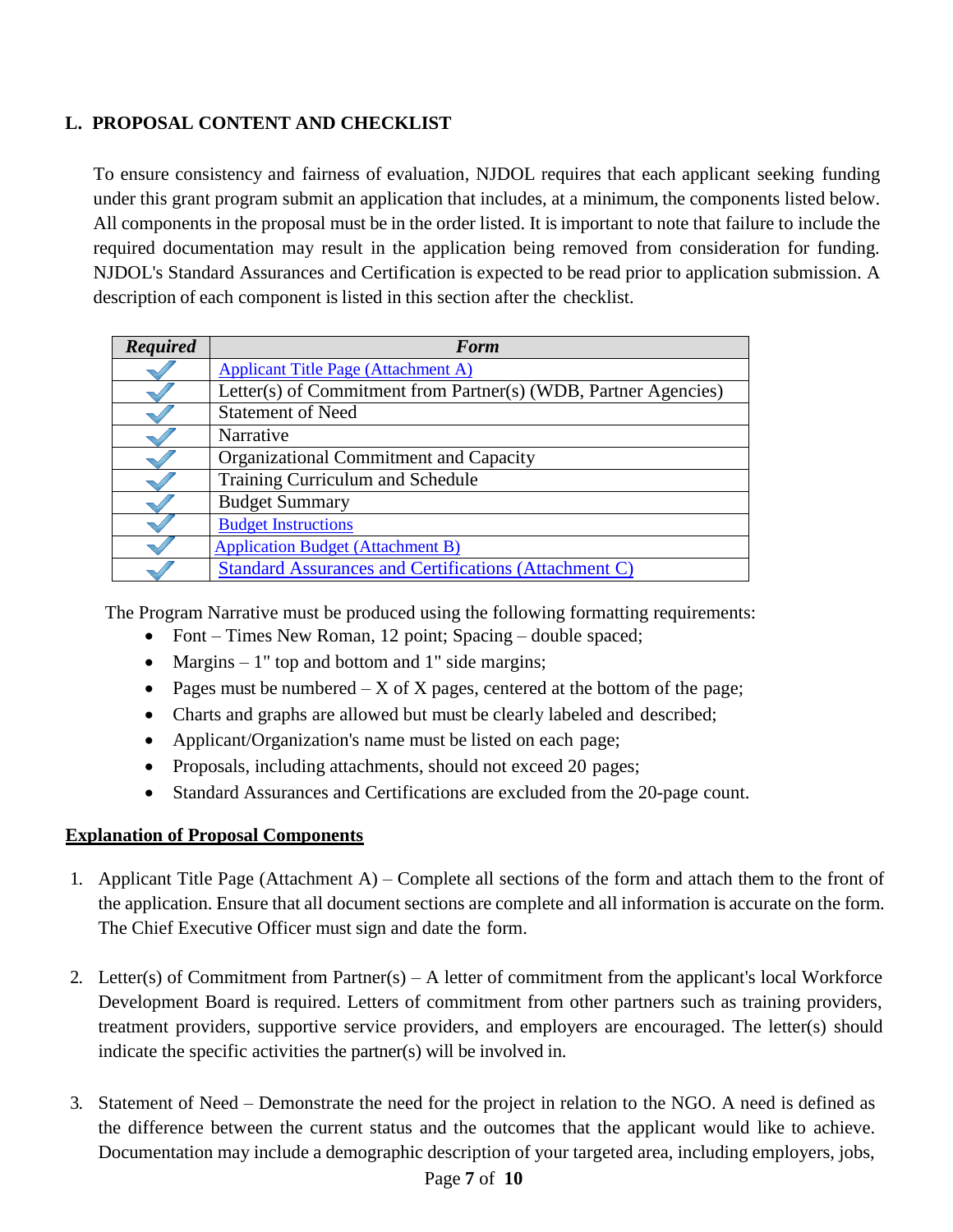## **L. PROPOSAL CONTENT AND CHECKLIST**

To ensure consistency and fairness of evaluation, NJDOL requires that each applicant seeking funding under this grant program submit an application that includes, at a minimum, the components listed below. All components in the proposal must be in the order listed. It is important to note that failure to include the required documentation may result in the application being removed from consideration for funding. NJDOL's Standard Assurances and Certification is expected to be read prior to application submission. A description of each component is listed in this section after the checklist.

| <b>Required</b> | <b>Form</b>                                                     |
|-----------------|-----------------------------------------------------------------|
|                 | <b>Applicant Title Page (Attachment A)</b>                      |
|                 | Letter(s) of Commitment from Partner(s) (WDB, Partner Agencies) |
|                 | <b>Statement of Need</b>                                        |
|                 | Narrative                                                       |
|                 | Organizational Commitment and Capacity                          |
|                 | <b>Training Curriculum and Schedule</b>                         |
|                 | <b>Budget Summary</b>                                           |
|                 | <b>Budget Instructions</b>                                      |
|                 | <b>Application Budget (Attachment B)</b>                        |
|                 | <b>Standard Assurances and Certifications (Attachment C)</b>    |

The Program Narrative must be produced using the following formatting requirements:

- Font Times New Roman, 12 point; Spacing double spaced;
- Margins 1" top and bottom and 1" side margins;
- Pages must be numbered  $-X$  of X pages, centered at the bottom of the page;
- Charts and graphs are allowed but must be clearly labeled and described;
- Applicant/Organization's name must be listed on each page;
- Proposals, including attachments, should not exceed 20 pages;
- Standard Assurances and Certifications are excluded from the 20-page count.

## **Explanation of Proposal Components**

- 1. Applicant Title Page (Attachment A) Complete all sections of the form and attach them to the front of the application. Ensure that all document sections are complete and all information is accurate on the form. The Chief Executive Officer must sign and date the form.
- 2. Letter(s) of Commitment from Partner(s) A letter of commitment from the applicant's local Workforce Development Board is required. Letters of commitment from other partners such as training providers, treatment providers, supportive service providers, and employers are encouraged. The letter(s) should indicate the specific activities the partner(s) will be involved in.
- 3. Statement of Need Demonstrate the need for the project in relation to the NGO. A need is defined as the difference between the current status and the outcomes that the applicant would like to achieve. Documentation may include a demographic description of your targeted area, including employers, jobs,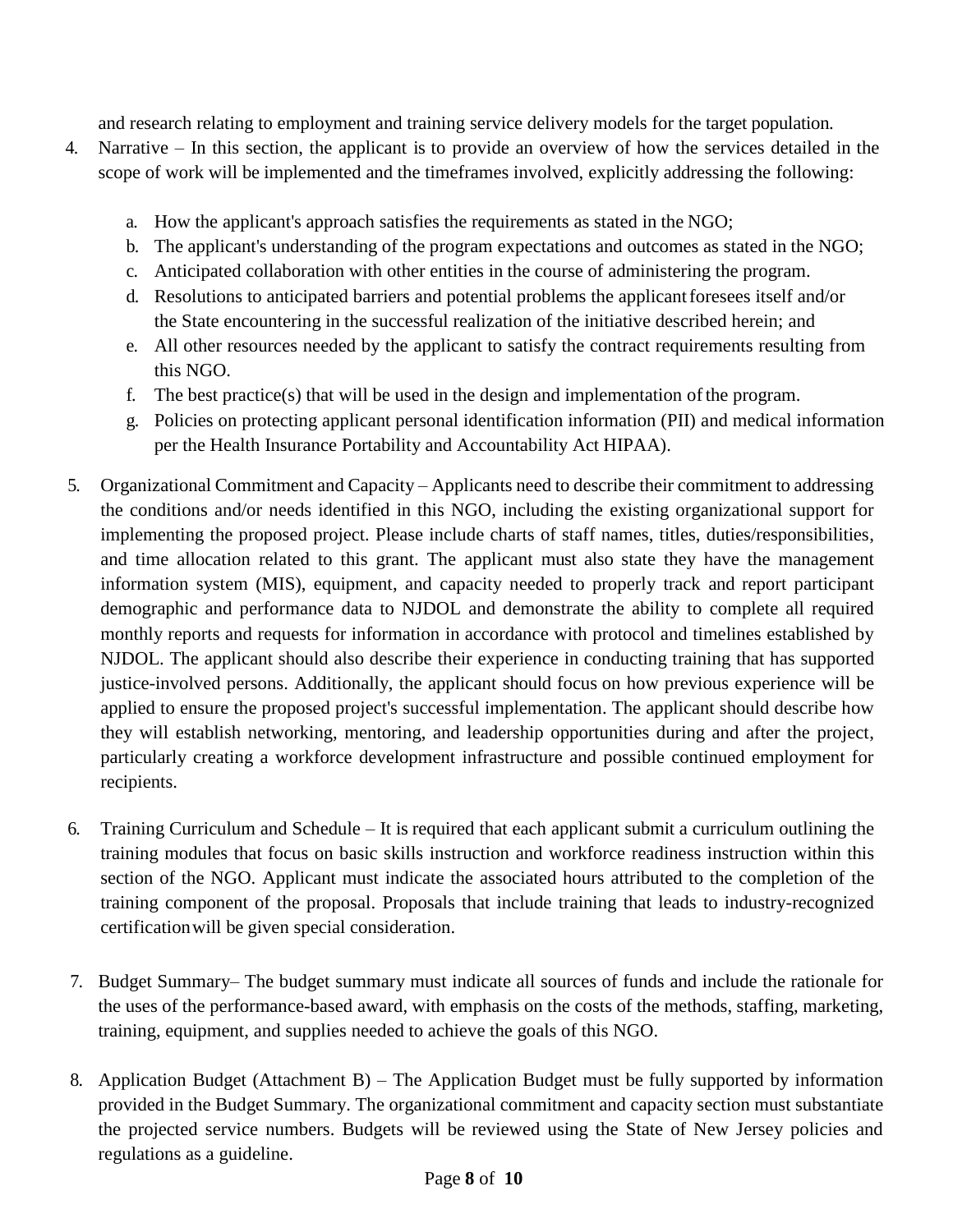and research relating to employment and training service delivery models for the target population.

- 4. Narrative In this section, the applicant is to provide an overview of how the services detailed in the scope of work will be implemented and the timeframes involved, explicitly addressing the following:
	- a. How the applicant's approach satisfies the requirements as stated in the NGO;
	- b. The applicant's understanding of the program expectations and outcomes as stated in the NGO;
	- c. Anticipated collaboration with other entities in the course of administering the program.
	- d. Resolutions to anticipated barriers and potential problems the applicant foresees itself and/or the State encountering in the successful realization of the initiative described herein; and
	- e. All other resources needed by the applicant to satisfy the contract requirements resulting from this NGO.
	- f. The best practice(s) that will be used in the design and implementation ofthe program.
	- g. Policies on protecting applicant personal identification information (PII) and medical information per the Health Insurance Portability and Accountability Act HIPAA).
- 5. Organizational Commitment and Capacity Applicants need to describe their commitment to addressing the conditions and/or needs identified in this NGO, including the existing organizational support for implementing the proposed project. Please include charts of staff names, titles, duties/responsibilities, and time allocation related to this grant. The applicant must also state they have the management information system (MIS), equipment, and capacity needed to properly track and report participant demographic and performance data to NJDOL and demonstrate the ability to complete all required monthly reports and requests for information in accordance with protocol and timelines established by NJDOL. The applicant should also describe their experience in conducting training that has supported justice-involved persons. Additionally, the applicant should focus on how previous experience will be applied to ensure the proposed project's successful implementation. The applicant should describe how they will establish networking, mentoring, and leadership opportunities during and after the project, particularly creating a workforce development infrastructure and possible continued employment for recipients.
- 6. Training Curriculum and Schedule It is required that each applicant submit a curriculum outlining the training modules that focus on basic skills instruction and workforce readiness instruction within this section of the NGO. Applicant must indicate the associated hours attributed to the completion of the training component of the proposal. Proposals that include training that leads to industry-recognized certificationwill be given special consideration.
- 7. Budget Summary– The budget summary must indicate all sources of funds and include the rationale for the uses of the performance-based award, with emphasis on the costs of the methods, staffing, marketing, training, equipment, and supplies needed to achieve the goals of this NGO.
- 8. Application Budget (Attachment B) The Application Budget must be fully supported by information provided in the Budget Summary. The organizational commitment and capacity section must substantiate the projected service numbers. Budgets will be reviewed using the State of New Jersey policies and regulations as a guideline.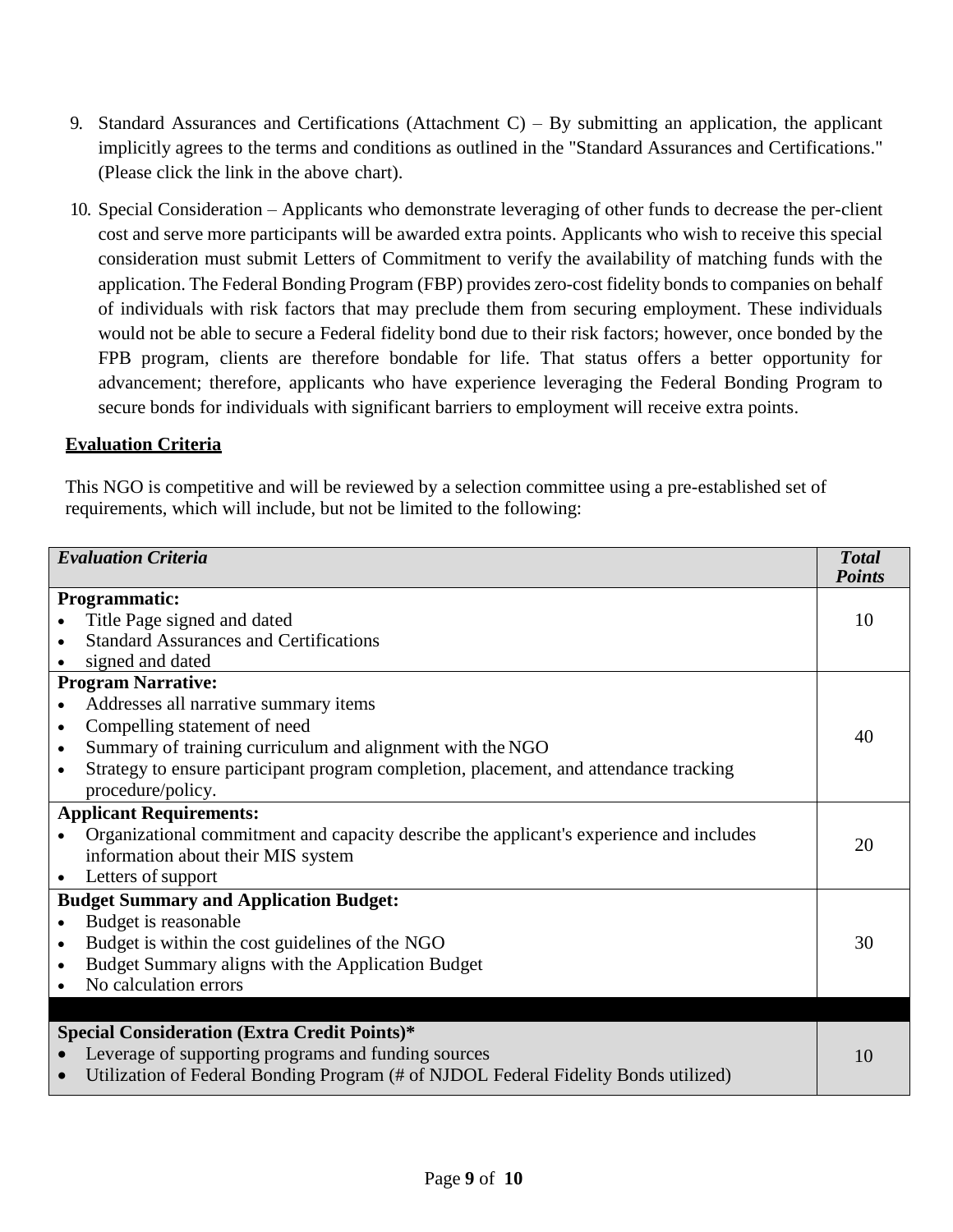- 9. Standard Assurances and Certifications (Attachment C) By submitting an application, the applicant implicitly agrees to the terms and conditions as outlined in the "Standard Assurances and Certifications." (Please click the link in the above chart).
- 10. Special Consideration Applicants who demonstrate leveraging of other funds to decrease the per-client cost and serve more participants will be awarded extra points. Applicants who wish to receive this special consideration must submit Letters of Commitment to verify the availability of matching funds with the application. The Federal Bonding Program (FBP) provides zero-cost fidelity bonds to companies on behalf of individuals with risk factors that may preclude them from securing employment. These individuals would not be able to secure a Federal fidelity bond due to their risk factors; however, once bonded by the FPB program, clients are therefore bondable for life. That status offers a better opportunity for advancement; therefore, applicants who have experience leveraging the Federal Bonding Program to secure bonds for individuals with significant barriers to employment will receive extra points.

#### **Evaluation Criteria**

This NGO is competitive and will be reviewed by a selection committee using a pre-established set of requirements, which will include, but not be limited to the following:

| <b>Evaluation Criteria</b>                          |                                                                                         | <b>Total</b><br><b>Points</b> |
|-----------------------------------------------------|-----------------------------------------------------------------------------------------|-------------------------------|
| <b>Programmatic:</b>                                |                                                                                         |                               |
|                                                     | Title Page signed and dated                                                             | 10                            |
|                                                     | <b>Standard Assurances and Certifications</b>                                           |                               |
|                                                     | signed and dated                                                                        |                               |
| <b>Program Narrative:</b>                           |                                                                                         |                               |
| $\bullet$                                           | Addresses all narrative summary items                                                   |                               |
| $\bullet$                                           | Compelling statement of need                                                            | 40                            |
| $\bullet$                                           | Summary of training curriculum and alignment with the NGO                               |                               |
| $\bullet$                                           | Strategy to ensure participant program completion, placement, and attendance tracking   |                               |
|                                                     | procedure/policy.                                                                       |                               |
| <b>Applicant Requirements:</b>                      |                                                                                         |                               |
|                                                     | Organizational commitment and capacity describe the applicant's experience and includes | 20                            |
|                                                     | information about their MIS system                                                      |                               |
| $\bullet$                                           | Letters of support                                                                      |                               |
| <b>Budget Summary and Application Budget:</b>       |                                                                                         |                               |
| $\bullet$                                           | Budget is reasonable                                                                    |                               |
| $\bullet$                                           | Budget is within the cost guidelines of the NGO                                         | 30                            |
| $\bullet$                                           | Budget Summary aligns with the Application Budget                                       |                               |
|                                                     | No calculation errors                                                                   |                               |
|                                                     |                                                                                         |                               |
| <b>Special Consideration (Extra Credit Points)*</b> |                                                                                         |                               |
|                                                     | Leverage of supporting programs and funding sources                                     | 10                            |
|                                                     | Utilization of Federal Bonding Program (# of NJDOL Federal Fidelity Bonds utilized)     |                               |